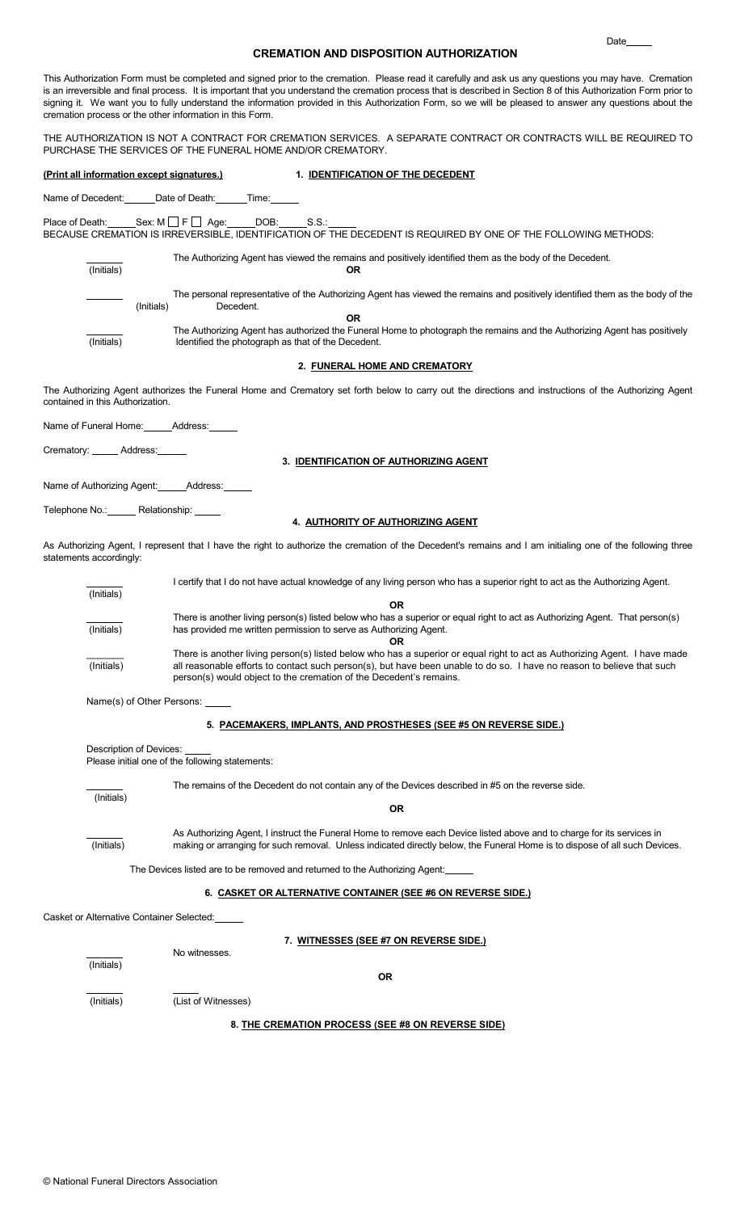# CREMATION AND DISPOSITION AUTHORIZATION

na de la construcción de la construcción de la construcción de la construcción de la construcción de la construcción de la construcción de la construcción de la construcción de la construcción de la construcción de la cons

THE AUTHORIZATION IS NOT A CONTRACT FOR CREMATION SERVICES. A SEPARATE CONTRACT OR CONTRACTS WILL BE REQUIRED TO PURCHASE THE SERVICES OF THE FUNERAL HOME AND/OR CREMATORY.

# (Print all information except signatures.) 1. IDENTIFICATION OF THE DECEDENT

Name of Decedent: \_\_\_\_\_\_Date of Death: \_\_\_\_\_\_Time:

Place of Death: Sex:  $M \Box F \Box$  Age: DOB: S.S.: BECAUSE CREMATION IS IRREVERSIBLE, IDENTIFICATION OF THE DECEDENT IS REQUIRED BY ONE OF THE FOLLOWING METHODS:

| (Initials) |            | The Authorizing Agent has viewed the remains and positively identified them as the body of the Decedent.<br>OR                                                                 |
|------------|------------|--------------------------------------------------------------------------------------------------------------------------------------------------------------------------------|
|            | (Initials) | The personal representative of the Authorizing Agent has viewed the remains and positively identified them as the body of the<br>Decedent.                                     |
|            |            | OR                                                                                                                                                                             |
| (Initials) |            | The Authorizing Agent has authorized the Funeral Home to photograph the remains and the Authorizing Agent has positively<br>Identified the photograph as that of the Decedent. |

### 2. FUNERAL HOME AND CREMATORY

The Authorizing Agent authorizes the Funeral Home and Crematory set forth below to carry out the directions and instructions of the Authorizing Agent contained in this Authorization.

Name of Funeral Home: \_\_\_\_\_\_ Address: \_\_\_

Crematory: \_\_\_\_\_ Address:\_

3. IDENTIFICATION OF AUTHORIZING AGENT

Name of Authorizing Agent: \_\_\_\_\_\_Address:

Telephone No.: Relationship:

## 4. AUTHORITY OF AUTHORIZING AGENT

As Authorizing Agent, I represent that I have the right to authorize the cremation of the Decedent's remains and I am initialing one of the following three statements accordingly:

| (Initials) | I certify that I do not have actual knowledge of any living person who has a superior right to act as the Authorizing Agent.                                                                 |
|------------|----------------------------------------------------------------------------------------------------------------------------------------------------------------------------------------------|
|            | OR                                                                                                                                                                                           |
|            | There is another living person(s) listed below who has a superior or equal right to act as Authorizing Agent. That person(s)                                                                 |
| (Initials) | has provided me written permission to serve as Authorizing Agent.                                                                                                                            |
|            |                                                                                                                                                                                              |
|            | There is another living person(s) listed below who has a superior or equal right to act as Authorizing Agent. I have made                                                                    |
| (Initials) | all reasonable efforts to contact such person(s), but have been unable to do so. I have no reason to believe that such<br>person(s) would object to the cremation of the Decedent's remains. |

Name(s) of Other Persons: \_

## 5. PACEMAKERS, IMPLANTS, AND PROSTHESES (SEE #5 ON REVERSE SIDE.)

Description of Devices:

Please initial one of the following statements:

|                                                                             | The remains of the Decedent do not contain any of the Devices described in #5 on the reverse side.                                                                                                                                                   |  |  |  |
|-----------------------------------------------------------------------------|------------------------------------------------------------------------------------------------------------------------------------------------------------------------------------------------------------------------------------------------------|--|--|--|
| (Initials)                                                                  | OR.                                                                                                                                                                                                                                                  |  |  |  |
| (Initials)                                                                  | As Authorizing Agent, I instruct the Funeral Home to remove each Device listed above and to charge for its services in<br>making or arranging for such removal. Unless indicated directly below, the Funeral Home is to dispose of all such Devices. |  |  |  |
| The Devices listed are to be removed and returned to the Authorizing Agent: |                                                                                                                                                                                                                                                      |  |  |  |
|                                                                             | 6. CASKET OR ALTERNATIVE CONTAINER (SEE #6 ON REVERSE SIDE.)                                                                                                                                                                                         |  |  |  |
| Casket or Alternative Container Selected:                                   |                                                                                                                                                                                                                                                      |  |  |  |
|                                                                             | 7. WITNESSES (SEE #7 ON REVERSE SIDE.)<br>No witnesses.                                                                                                                                                                                              |  |  |  |
| (Initials)                                                                  | <b>OR</b>                                                                                                                                                                                                                                            |  |  |  |

(Initials) (List of Witnesses)

8. THE CREMATION PROCESS (SEE #8 ON REVERSE SIDE)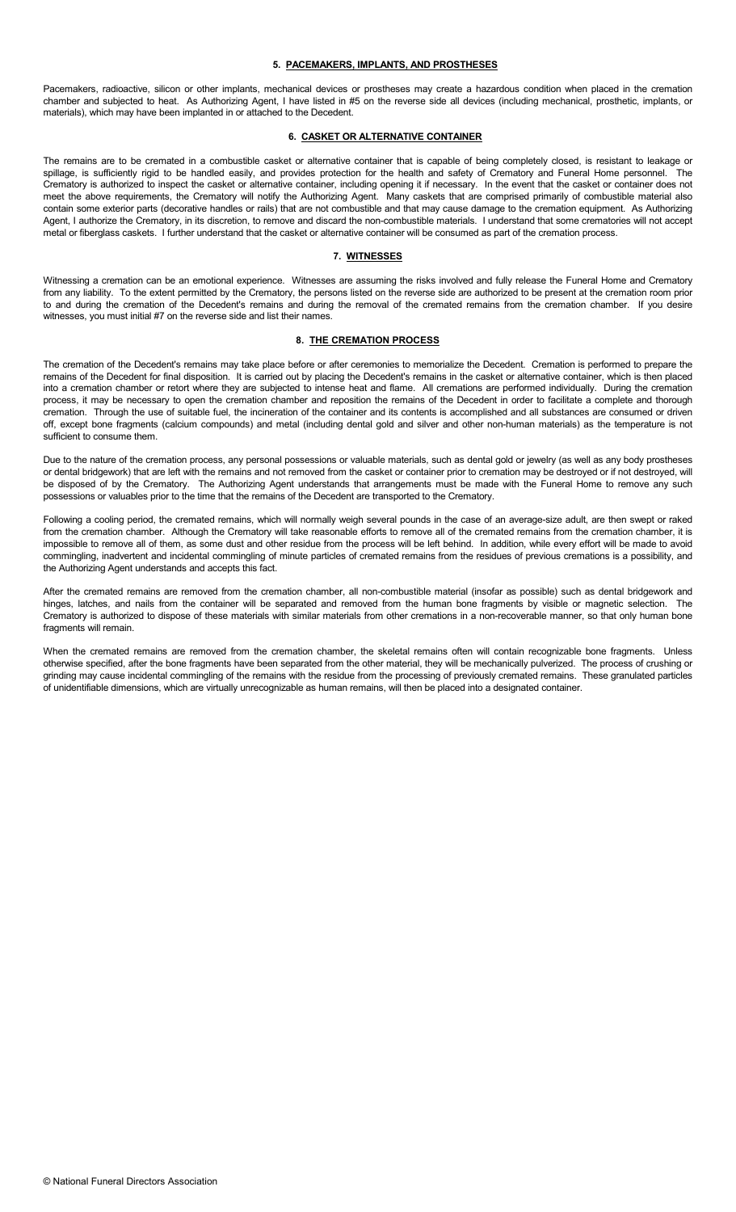#### 5. PACEMAKERS, IMPLANTS, AND PROSTHESES

Pacemakers, radioactive, silicon or other implants, mechanical devices or prostheses may create a hazardous condition when placed in the cremation chamber and subjected to heat. As Authorizing Agent, I have listed in #5 on the reverse side all devices (including mechanical, prosthetic, implants, or materials), which may have been implanted in or attached to the Decedent.

## 6. CASKET OR ALTERNATIVE CONTAINER

The remains are to be cremated in a combustible casket or alternative container that is capable of being completely closed, is resistant to leakage or spillage, is sufficiently rigid to be handled easily, and provides protection for the health and safety of Crematory and Funeral Home personnel. The Crematory is authorized to inspect the casket or alternative container, including opening it if necessary. In the event that the casket or container does not meet the above requirements, the Crematory will notify the Authorizing Agent. Many caskets that are comprised primarily of combustible material also contain some exterior parts (decorative handles or rails) that are not combustible and that may cause damage to the cremation equipment. As Authorizing Agent, I authorize the Crematory, in its discretion, to remove and discard the non-combustible materials. I understand that some crematories will not accept metal or fiberglass caskets. I further understand that the casket or alternative container will be consumed as part of the cremation process.

### 7. WITNESSES

Witnessing a cremation can be an emotional experience. Witnesses are assuming the risks involved and fully release the Funeral Home and Crematory from any liability. To the extent permitted by the Crematory, the persons listed on the reverse side are authorized to be present at the cremation room prior to and during the cremation of the Decedent's remains and during the removal of the cremated remains from the cremation chamber. If you desire witnesses, you must initial #7 on the reverse side and list their names.

#### 8. THE CREMATION PROCESS

The cremation of the Decedent's remains may take place before or after ceremonies to memorialize the Decedent. Cremation is performed to prepare the remains of the Decedent for final disposition. It is carried out by placing the Decedent's remains in the casket or alternative container, which is then placed into a cremation chamber or retort where they are subjected to intense heat and flame. All cremations are performed individually. During the cremation process, it may be necessary to open the cremation chamber and reposition the remains of the Decedent in order to facilitate a complete and thorough cremation. Through the use of suitable fuel, the incineration of the container and its contents is accomplished and all substances are consumed or driven off, except bone fragments (calcium compounds) and metal (including dental gold and silver and other non-human materials) as the temperature is not sufficient to consume them.

Due to the nature of the cremation process, any personal possessions or valuable materials, such as dental gold or jewelry (as well as any body prostheses or dental bridgework) that are left with the remains and not removed from the casket or container prior to cremation may be destroyed or if not destroyed, will be disposed of by the Crematory. The Authorizing Agent understands that arrangements must be made with the Funeral Home to remove any such possessions or valuables prior to the time that the remains of the Decedent are transported to the Crematory.

Following a cooling period, the cremated remains, which will normally weigh several pounds in the case of an average-size adult, are then swept or raked from the cremation chamber. Although the Crematory will take reasonable efforts to remove all of the cremated remains from the cremation chamber, it is impossible to remove all of them, as some dust and other residue from the process will be left behind. In addition, while every effort will be made to avoid commingling, inadvertent and incidental commingling of minute particles of cremated remains from the residues of previous cremations is a possibility, and the Authorizing Agent understands and accepts this fact.

After the cremated remains are removed from the cremation chamber, all non-combustible material (insofar as possible) such as dental bridgework and hinges, latches, and nails from the container will be separated and removed from the human bone fragments by visible or magnetic selection. The Crematory is authorized to dispose of these materials with similar materials from other cremations in a non-recoverable manner, so that only human bone fragments will remain.

When the cremated remains are removed from the cremation chamber, the skeletal remains often will contain recognizable bone fragments. Unless otherwise specified, after the bone fragments have been separated from the other material, they will be mechanically pulverized. The process of crushing or grinding may cause incidental commingling of the remains with the residue from the processing of previously cremated remains. These granulated particles of unidentifiable dimensions, which are virtually unrecognizable as human remains, will then be placed into a designated container.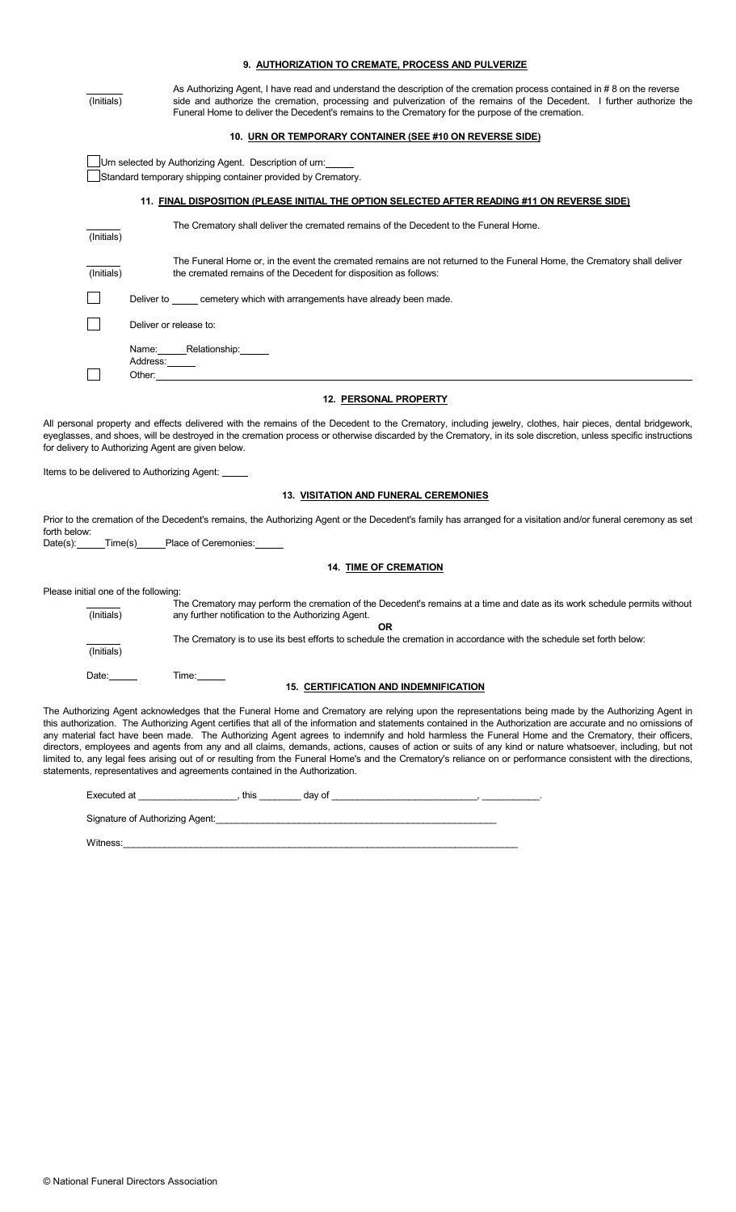|                                                    | 9. AUTHORIZATION TO CREMATE, PROCESS AND PULVERIZE                                                                                                                                                                                                                                                                                                                                                                                                                                                                                                                                                                                                                                                                                                                                                                                                                                    |
|----------------------------------------------------|---------------------------------------------------------------------------------------------------------------------------------------------------------------------------------------------------------------------------------------------------------------------------------------------------------------------------------------------------------------------------------------------------------------------------------------------------------------------------------------------------------------------------------------------------------------------------------------------------------------------------------------------------------------------------------------------------------------------------------------------------------------------------------------------------------------------------------------------------------------------------------------|
| (Initials)                                         | As Authorizing Agent, I have read and understand the description of the cremation process contained in #8 on the reverse<br>side and authorize the cremation, processing and pulverization of the remains of the Decedent. I further authorize the<br>Funeral Home to deliver the Decedent's remains to the Crematory for the purpose of the cremation.                                                                                                                                                                                                                                                                                                                                                                                                                                                                                                                               |
|                                                    | 10. URN OR TEMPORARY CONTAINER (SEE #10 ON REVERSE SIDE)                                                                                                                                                                                                                                                                                                                                                                                                                                                                                                                                                                                                                                                                                                                                                                                                                              |
|                                                    | Urn selected by Authorizing Agent. Description of urn:<br>Standard temporary shipping container provided by Crematory.                                                                                                                                                                                                                                                                                                                                                                                                                                                                                                                                                                                                                                                                                                                                                                |
|                                                    | 11. FINAL DISPOSITION (PLEASE INITIAL THE OPTION SELECTED AFTER READING #11 ON REVERSE SIDE)                                                                                                                                                                                                                                                                                                                                                                                                                                                                                                                                                                                                                                                                                                                                                                                          |
| (Initials)                                         | The Crematory shall deliver the cremated remains of the Decedent to the Funeral Home.                                                                                                                                                                                                                                                                                                                                                                                                                                                                                                                                                                                                                                                                                                                                                                                                 |
| (Initials)                                         | The Funeral Home or, in the event the cremated remains are not returned to the Funeral Home, the Crematory shall deliver<br>the cremated remains of the Decedent for disposition as follows:                                                                                                                                                                                                                                                                                                                                                                                                                                                                                                                                                                                                                                                                                          |
|                                                    | Deliver to _____ cemetery which with arrangements have already been made.                                                                                                                                                                                                                                                                                                                                                                                                                                                                                                                                                                                                                                                                                                                                                                                                             |
|                                                    | Deliver or release to:                                                                                                                                                                                                                                                                                                                                                                                                                                                                                                                                                                                                                                                                                                                                                                                                                                                                |
|                                                    | Name: Relationship: _____<br>Address: ______                                                                                                                                                                                                                                                                                                                                                                                                                                                                                                                                                                                                                                                                                                                                                                                                                                          |
|                                                    | Other: <u>with the contract of the contract of the contract of the contract of the contract of the contract of the contract of the contract of the contract of the contract of the contract of the contract of the contract of t</u>                                                                                                                                                                                                                                                                                                                                                                                                                                                                                                                                                                                                                                                  |
|                                                    | <b>12. PERSONAL PROPERTY</b>                                                                                                                                                                                                                                                                                                                                                                                                                                                                                                                                                                                                                                                                                                                                                                                                                                                          |
|                                                    | All personal property and effects delivered with the remains of the Decedent to the Crematory, including jewelry, clothes, hair pieces, dental bridgework,<br>eyeglasses, and shoes, will be destroyed in the cremation process or otherwise discarded by the Crematory, in its sole discretion, unless specific instructions<br>for delivery to Authorizing Agent are given below.                                                                                                                                                                                                                                                                                                                                                                                                                                                                                                   |
|                                                    | Items to be delivered to Authorizing Agent:                                                                                                                                                                                                                                                                                                                                                                                                                                                                                                                                                                                                                                                                                                                                                                                                                                           |
|                                                    | <b>13. VISITATION AND FUNERAL CEREMONIES</b>                                                                                                                                                                                                                                                                                                                                                                                                                                                                                                                                                                                                                                                                                                                                                                                                                                          |
| forth below:                                       | Prior to the cremation of the Decedent's remains, the Authorizing Agent or the Decedent's family has arranged for a visitation and/or funeral ceremony as set                                                                                                                                                                                                                                                                                                                                                                                                                                                                                                                                                                                                                                                                                                                         |
|                                                    | Date(s): ______Time(s)______Place of Ceremonies: ______                                                                                                                                                                                                                                                                                                                                                                                                                                                                                                                                                                                                                                                                                                                                                                                                                               |
|                                                    | <b>14. TIME OF CREMATION</b>                                                                                                                                                                                                                                                                                                                                                                                                                                                                                                                                                                                                                                                                                                                                                                                                                                                          |
| Please initial one of the following:<br>(Initials) | The Crematory may perform the cremation of the Decedent's remains at a time and date as its work schedule permits without<br>any further notification to the Authorizing Agent.                                                                                                                                                                                                                                                                                                                                                                                                                                                                                                                                                                                                                                                                                                       |
| (Initials)                                         | <b>OR</b><br>The Crematory is to use its best efforts to schedule the cremation in accordance with the schedule set forth below:                                                                                                                                                                                                                                                                                                                                                                                                                                                                                                                                                                                                                                                                                                                                                      |
| Date: $\qquad \qquad$                              | <b>15. CERTIFICATION AND INDEMNIFICATION</b>                                                                                                                                                                                                                                                                                                                                                                                                                                                                                                                                                                                                                                                                                                                                                                                                                                          |
|                                                    | The Authorizing Agent acknowledges that the Funeral Home and Crematory are relying upon the representations being made by the Authorizing Agent in<br>this authorization. The Authorizing Agent certifies that all of the information and statements contained in the Authorization are accurate and no omissions of<br>any material fact have been made. The Authorizing Agent agrees to indemnify and hold harmless the Funeral Home and the Crematory, their officers,<br>directors, employees and agents from any and all claims, demands, actions, causes of action or suits of any kind or nature whatsoever, including, but not<br>limited to, any legal fees arising out of or resulting from the Funeral Home's and the Crematory's reliance on or performance consistent with the directions,<br>statements, representatives and agreements contained in the Authorization. |
|                                                    |                                                                                                                                                                                                                                                                                                                                                                                                                                                                                                                                                                                                                                                                                                                                                                                                                                                                                       |
|                                                    |                                                                                                                                                                                                                                                                                                                                                                                                                                                                                                                                                                                                                                                                                                                                                                                                                                                                                       |

Signature of Authorizing Agent:

Witness:\_\_\_\_\_\_\_\_\_\_\_\_\_\_\_\_\_\_\_\_\_\_\_\_\_\_\_\_\_\_\_\_\_\_\_\_\_\_\_\_\_\_\_\_\_\_\_\_\_\_\_\_\_\_\_\_\_\_\_\_\_\_\_\_\_\_\_\_\_\_\_\_\_\_\_\_